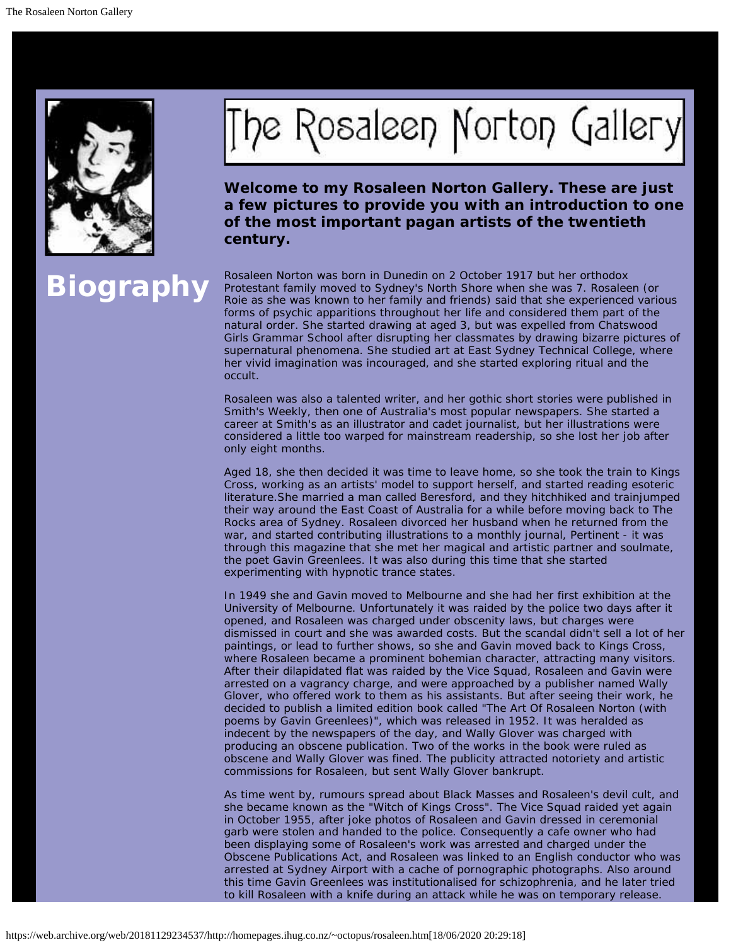

## The Rosaleen Norton Gallery

**Welcome to my Rosaleen Norton Gallery. These are just a few pictures to provide you with an introduction to one of the most important pagan artists of the twentieth century.**

Rosaleen Norton was born in Dunedin on 2 October 1917 but her orthodox<br>Protestant family moved to Sydney's North Shore when she was 7. Rosaleen (or<br>Roje as she was known to her family and friends) said that she experienced Roie as she was known to her family and friends) said that she experienced various forms of psychic apparitions throughout her life and considered them part of the natural order. She started drawing at aged 3, but was expelled from Chatswood Girls Grammar School after disrupting her classmates by drawing bizarre pictures of supernatural phenomena. She studied art at East Sydney Technical College, where her vivid imagination was incouraged, and she started exploring ritual and the occult.

> Rosaleen was also a talented writer, and her gothic short stories were published in Smith's Weekly, then one of Australia's most popular newspapers. She started a career at Smith's as an illustrator and cadet journalist, but her illustrations were considered a little too warped for mainstream readership, so she lost her job after only eight months.

Aged 18, she then decided it was time to leave home, so she took the train to Kings Cross, working as an artists' model to support herself, and started reading esoteric literature.She married a man called Beresford, and they hitchhiked and trainjumped their way around the East Coast of Australia for a while before moving back to The Rocks area of Sydney. Rosaleen divorced her husband when he returned from the war, and started contributing illustrations to a monthly journal, Pertinent - it was through this magazine that she met her magical and artistic partner and soulmate, the poet Gavin Greenlees. It was also during this time that she started experimenting with hypnotic trance states.

In 1949 she and Gavin moved to Melbourne and she had her first exhibition at the University of Melbourne. Unfortunately it was raided by the police two days after it opened, and Rosaleen was charged under obscenity laws, but charges were dismissed in court and she was awarded costs. But the scandal didn't sell a lot of her paintings, or lead to further shows, so she and Gavin moved back to Kings Cross, where Rosaleen became a prominent bohemian character, attracting many visitors. After their dilapidated flat was raided by the Vice Squad, Rosaleen and Gavin were arrested on a vagrancy charge, and were approached by a publisher named Wally Glover, who offered work to them as his assistants. But after seeing their work, he decided to publish a limited edition book called "The Art Of Rosaleen Norton (with poems by Gavin Greenlees)", which was released in 1952. It was heralded as indecent by the newspapers of the day, and Wally Glover was charged with producing an obscene publication. Two of the works in the book were ruled as obscene and Wally Glover was fined. The publicity attracted notoriety and artistic commissions for Rosaleen, but sent Wally Glover bankrupt.

As time went by, rumours spread about Black Masses and Rosaleen's devil cult, and she became known as the "Witch of Kings Cross". The Vice Squad raided yet again in October 1955, after joke photos of Rosaleen and Gavin dressed in ceremonial garb were stolen and handed to the police. Consequently a cafe owner who had been displaying some of Rosaleen's work was arrested and charged under the Obscene Publications Act, and Rosaleen was linked to an English conductor who was arrested at Sydney Airport with a cache of pornographic photographs. Also around this time Gavin Greenlees was institutionalised for schizophrenia, and he later tried to kill Rosaleen with a knife during an attack while he was on temporary release.